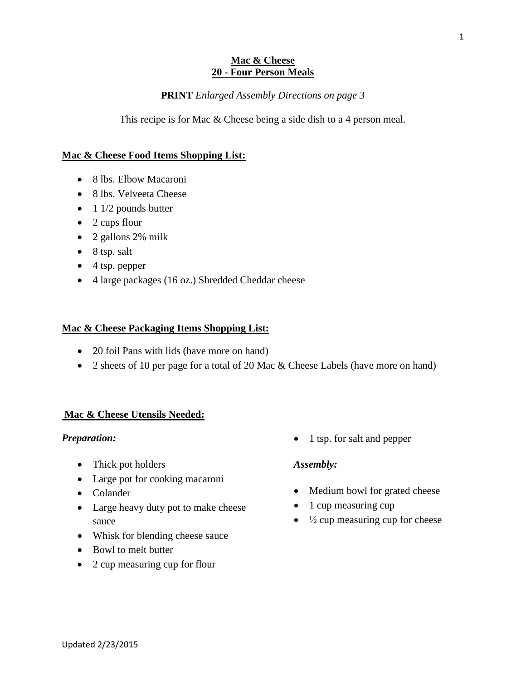## **Mac & Cheese 20 - Four Person Meals**

## **PRINT** *Enlarged Assembly Directions on page 3*

This recipe is for Mac & Cheese being a side dish to a 4 person meal.

## **Mac & Cheese Food Items Shopping List:**

- 8 lbs. Elbow Macaroni
- 8 lbs. Velveeta Cheese
- $\bullet$  1 1/2 pounds butter
- $\bullet$  2 cups flour
- $\bullet$  2 gallons 2% milk
- $\bullet$  8 tsp. salt
- $\bullet$  4 tsp. pepper
- 4 large packages (16 oz.) Shredded Cheddar cheese

## **Mac & Cheese Packaging Items Shopping List:**

- 20 foil Pans with lids (have more on hand)
- 2 sheets of 10 per page for a total of 20 Mac & Cheese Labels (have more on hand)

## **Mac & Cheese Utensils Needed:**

#### *Preparation:*

- Thick pot holders
- Large pot for cooking macaroni
- Colander
- Large heavy duty pot to make cheese sauce
- Whisk for blending cheese sauce
- Bowl to melt butter
- 2 cup measuring cup for flour

• 1 tsp. for salt and pepper

#### *Assembly:*

- Medium bowl for grated cheese
- 1 cup measuring cup
- $\bullet$   $\frac{1}{2}$  cup measuring cup for cheese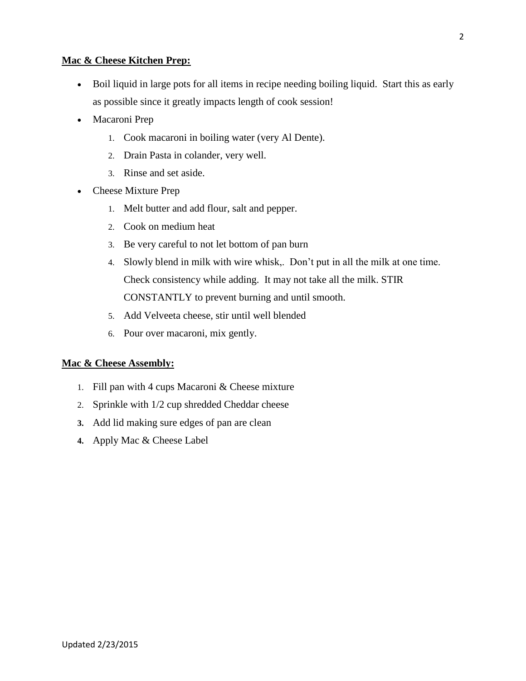## **Mac & Cheese Kitchen Prep:**

- Boil liquid in large pots for all items in recipe needing boiling liquid. Start this as early as possible since it greatly impacts length of cook session!
- Macaroni Prep
	- 1. Cook macaroni in boiling water (very Al Dente).
	- 2. Drain Pasta in colander, very well.
	- 3. Rinse and set aside.
- Cheese Mixture Prep
	- 1. Melt butter and add flour, salt and pepper.
	- 2. Cook on medium heat
	- 3. Be very careful to not let bottom of pan burn
	- 4. Slowly blend in milk with wire whisk,. Don't put in all the milk at one time. Check consistency while adding. It may not take all the milk. STIR CONSTANTLY to prevent burning and until smooth.
	- 5. Add Velveeta cheese, stir until well blended
	- 6. Pour over macaroni, mix gently.

# **Mac & Cheese Assembly:**

- 1. Fill pan with 4 cups Macaroni & Cheese mixture
- 2. Sprinkle with 1/2 cup shredded Cheddar cheese
- **3.** Add lid making sure edges of pan are clean
- **4.** Apply Mac & Cheese Label